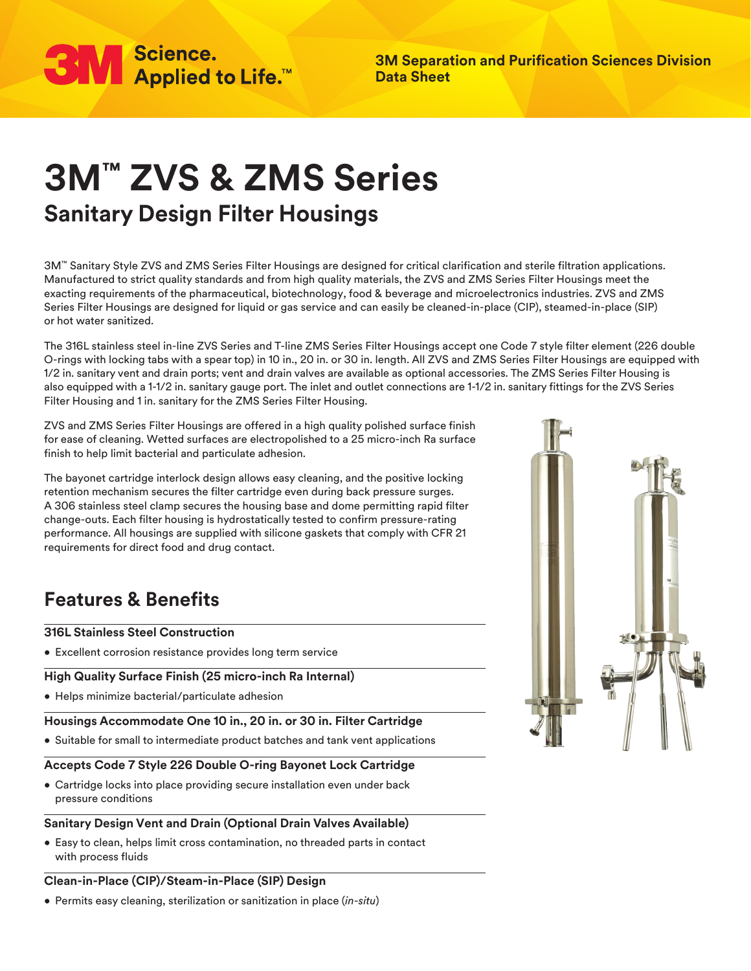

**3M Separation and Purification Sciences Division Data Sheet**

# **3M™ ZVS & ZMS Series Sanitary Design Filter Housings**

3M™ Sanitary Style ZVS and ZMS Series Filter Housings are designed for critical clarification and sterile filtration applications. Manufactured to strict quality standards and from high quality materials, the ZVS and ZMS Series Filter Housings meet the exacting requirements of the pharmaceutical, biotechnology, food & beverage and microelectronics industries. ZVS and ZMS Series Filter Housings are designed for liquid or gas service and can easily be cleaned-in-place (CIP), steamed-in-place (SIP) or hot water sanitized.

The 316L stainless steel in-line ZVS Series and T-line ZMS Series Filter Housings accept one Code 7 style filter element (226 double O-rings with locking tabs with a spear top) in 10 in., 20 in. or 30 in. length. All ZVS and ZMS Series Filter Housings are equipped with 1/2 in. sanitary vent and drain ports; vent and drain valves are available as optional accessories. The ZMS Series Filter Housing is also equipped with a 1-1/2 in. sanitary gauge port. The inlet and outlet connections are 1-1/2 in. sanitary fittings for the ZVS Series Filter Housing and 1 in. sanitary for the ZMS Series Filter Housing.

ZVS and ZMS Series Filter Housings are offered in a high quality polished surface finish for ease of cleaning. Wetted surfaces are electropolished to a 25 micro-inch Ra surface finish to help limit bacterial and particulate adhesion.

The bayonet cartridge interlock design allows easy cleaning, and the positive locking retention mechanism secures the filter cartridge even during back pressure surges. A 306 stainless steel clamp secures the housing base and dome permitting rapid filter change-outs. Each filter housing is hydrostatically tested to confirm pressure-rating performance. All housings are supplied with silicone gaskets that comply with CFR 21 requirements for direct food and drug contact.

# **Features & Benefits**

# **316L Stainless Steel Construction**

• Excellent corrosion resistance provides long term service

# **High Quality Surface Finish (25 micro-inch Ra Internal)**

• Helps minimize bacterial/particulate adhesion

# **Housings Accommodate One 10 in., 20 in. or 30 in. Filter Cartridge**

• Suitable for small to intermediate product batches and tank vent applications

# **Accepts Code 7 Style 226 Double O-ring Bayonet Lock Cartridge**

• Cartridge locks into place providing secure installation even under back pressure conditions

#### **Sanitary Design Vent and Drain (Optional Drain Valves Available)**

• Easy to clean, helps limit cross contamination, no threaded parts in contact with process fluids

# **Clean-in-Place (CIP)/Steam-in-Place (SIP) Design**

• Permits easy cleaning, sterilization or sanitization in place (*in-situ*)